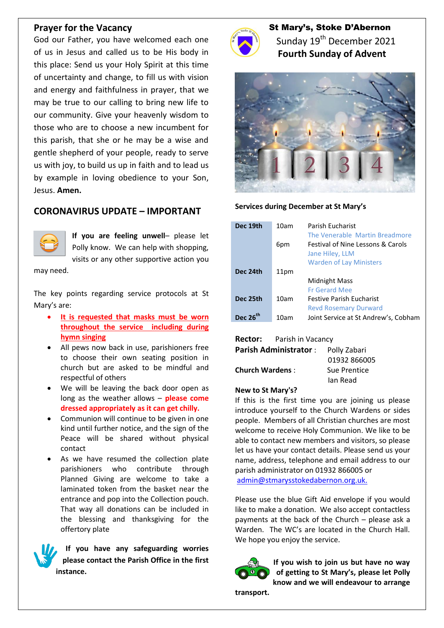## **Prayer for the Vacancy**

God our Father, you have welcomed each one of us in Jesus and called us to be His body in this place: Send us your Holy Spirit at this time of uncertainty and change, to fill us with vision and energy and faithfulness in prayer, that we may be true to our calling to bring new life to our community. Give your heavenly wisdom to those who are to choose a new incumbent for this parish, that she or he may be a wise and gentle shepherd of your people, ready to serve us with joy, to build us up in faith and to lead us by example in loving obedience to your Son, Jesus. **Amen.**

# **CORONAVIRUS UPDATE – IMPORTANT**



**If you are feeling unwell**– please let Polly know. We can help with shopping, visits or any other supportive action you

may need.

The key points regarding service protocols at St Mary's are:

- **It is requested that masks must be worn throughout the service including during hymn singing**
- All pews now back in use, parishioners free to choose their own seating position in church but are asked to be mindful and respectful of others
- We will be leaving the back door open as long as the weather allows – **please come dressed appropriately as it can get chilly.**
- Communion will continue to be given in one kind until further notice, and the sign of the Peace will be shared without physical contact
- As we have resumed the collection plate parishioners who contribute through Planned Giving are welcome to take a laminated token from the basket near the entrance and pop into the Collection pouch. That way all donations can be included in the blessing and thanksgiving for the offertory plate

**If you have any safeguarding worries please contact the Parish Office in the first instance.**



St Mary's, Stoke D'Abernon Sunday 19<sup>th</sup> December 2021  **Fourth Sunday of Advent**



### **Services during December at St Mary's**

| Dec 19th             | 10am | Parish Eucharist<br>The Venerable Martin Breadmore              |
|----------------------|------|-----------------------------------------------------------------|
|                      | 6pm  | <b>Festival of Nine Lessons &amp; Carols</b><br>Jane Hiley, LLM |
|                      |      | <b>Warden of Lay Ministers</b>                                  |
| Dec 24th             | 11pm |                                                                 |
|                      |      | Midnight Mass                                                   |
|                      |      | <b>Fr Gerard Mee</b>                                            |
| Dec 25th             | 10am | <b>Festive Parish Fucharist</b>                                 |
|                      |      | <b>Revd Rosemary Durward</b>                                    |
| Dec 26 <sup>th</sup> | 10am | Joint Service at St Andrew's, Cobham                            |

### **Rector:** Parish in Vacancy

| <b>Parish Administrator:</b> | Polly Zabari |
|------------------------------|--------------|
|                              | 01932 866005 |
| <b>Church Wardens:</b>       | Sue Prentice |
|                              | lan Read     |

#### **New to St Mary's?**

If this is the first time you are joining us please introduce yourself to the Church Wardens or sides people. Members of all Christian churches are most welcome to receive Holy Communion. We like to be able to contact new members and visitors, so please let us have your contact details. Please send us your name, address, telephone and email address to our parish administrator on 01932 866005 or [admin@stmarysstokedabernon.org.uk.](mailto:admin@stmarysstokedabernon.org.uk)

Please use the blue Gift Aid envelope if you would like to make a donation. We also accept contactless payments at the back of the Church – please ask a Warden. The WC's are located in the Church Hall. We hope you enjoy the service.



**If you wish to join us but have no way of getting to St Mary's, please let Polly know and we will endeavour to arrange** 

**transport.**